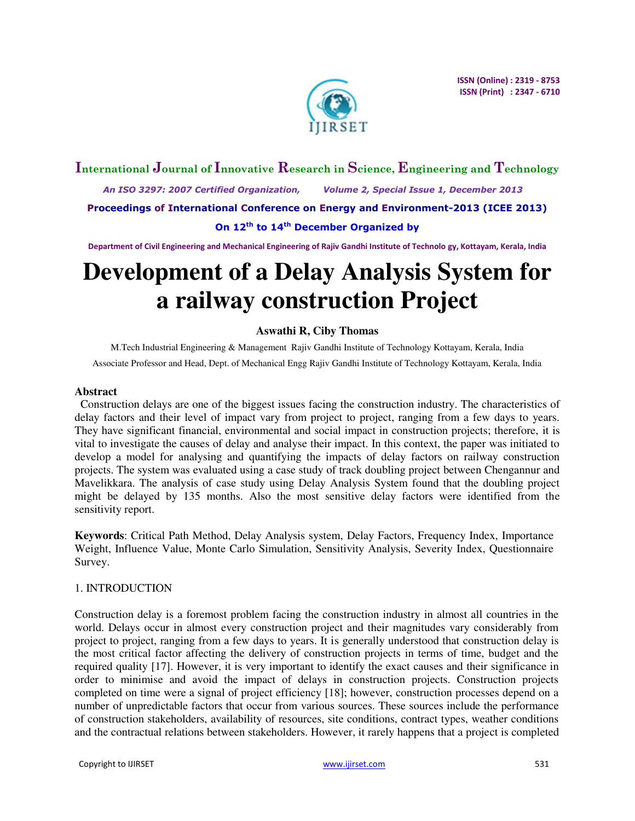

# **International Journal of Innovative Research in Science, Engineering and Technology**

 *An ISO 3297: 2007 Certified Organization, Volume 2, Special Issue 1, December 2013*  **Proceedings of International Conference on Energy and Environment-2013 (ICEE 2013)** 

**On 12th to 14th December Organized by** 

**Department of Civil Engineering and Mechanical Engineering of Rajiv Gandhi Institute of Technolo gy, Kottayam, Kerala, India** 

# **Development of a Delay Analysis System for a railway construction Project**

# **Aswathi R, Ciby Thomas**

M.Tech Industrial Engineering & Management Rajiv Gandhi Institute of Technology Kottayam, Kerala, India Associate Professor and Head, Dept. of Mechanical Engg Rajiv Gandhi Institute of Technology Kottayam, Kerala, India

#### **Abstract**

Construction delays are one of the biggest issues facing the construction industry. The characteristics of delay factors and their level of impact vary from project to project, ranging from a few days to years. They have significant financial, environmental and social impact in construction projects; therefore, it is vital to investigate the causes of delay and analyse their impact. In this context, the paper was initiated to develop a model for analysing and quantifying the impacts of delay factors on railway construction projects. The system was evaluated using a case study of track doubling project between Chengannur and Mavelikkara. The analysis of case study using Delay Analysis System found that the doubling project might be delayed by 135 months. Also the most sensitive delay factors were identified from the sensitivity report.

**Keywords**: Critical Path Method, Delay Analysis system, Delay Factors, Frequency Index, Importance Weight, Influence Value, Monte Carlo Simulation, Sensitivity Analysis, Severity Index, Questionnaire Survey.

# 1. INTRODUCTION

Construction delay is a foremost problem facing the construction industry in almost all countries in the world. Delays occur in almost every construction project and their magnitudes vary considerably from project to project, ranging from a few days to years. It is generally understood that construction delay is the most critical factor affecting the delivery of construction projects in terms of time, budget and the required quality [17]. However, it is very important to identify the exact causes and their significance in order to minimise and avoid the impact of delays in construction projects. Construction projects completed on time were a signal of project efficiency [18]; however, construction processes depend on a number of unpredictable factors that occur from various sources. These sources include the performance of construction stakeholders, availability of resources, site conditions, contract types, weather conditions and the contractual relations between stakeholders. However, it rarely happens that a project is completed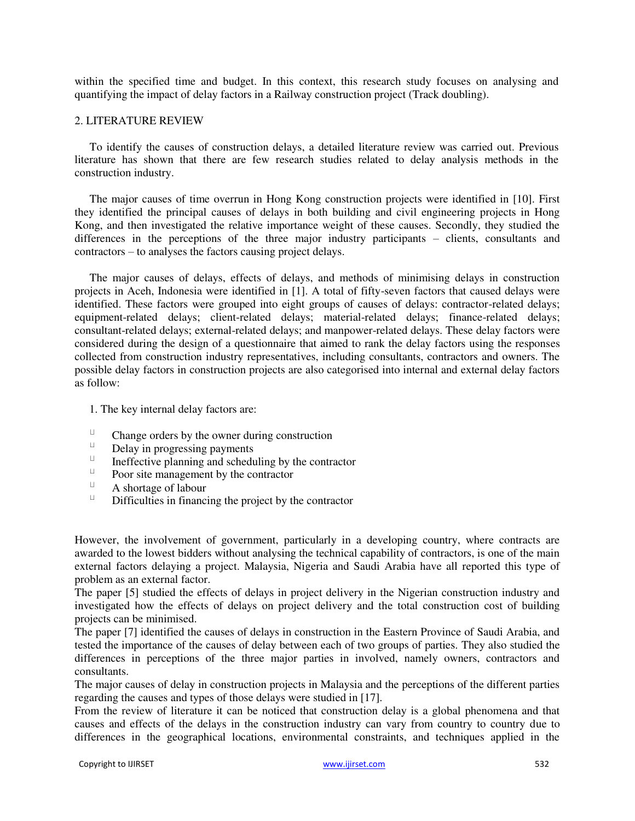within the specified time and budget. In this context, this research study focuses on analysing and quantifying the impact of delay factors in a Railway construction project (Track doubling).

#### 2. LITERATURE REVIEW

To identify the causes of construction delays, a detailed literature review was carried out. Previous literature has shown that there are few research studies related to delay analysis methods in the construction industry.

The major causes of time overrun in Hong Kong construction projects were identified in [10]. First they identified the principal causes of delays in both building and civil engineering projects in Hong Kong, and then investigated the relative importance weight of these causes. Secondly, they studied the differences in the perceptions of the three major industry participants – clients, consultants and contractors – to analyses the factors causing project delays.

The major causes of delays, effects of delays, and methods of minimising delays in construction projects in Aceh, Indonesia were identified in [1]. A total of fifty-seven factors that caused delays were identified. These factors were grouped into eight groups of causes of delays: contractor-related delays; equipment-related delays; client-related delays; material-related delays; finance-related delays; consultant-related delays; external-related delays; and manpower-related delays. These delay factors were considered during the design of a questionnaire that aimed to rank the delay factors using the responses collected from construction industry representatives, including consultants, contractors and owners. The possible delay factors in construction projects are also categorised into internal and external delay factors as follow:

1. The key internal delay factors are:

- $\sqcup$ Change orders by the owner during construction
- $\sqcup$ Delay in progressing payments
- $\sqcup$ Ineffective planning and scheduling by the contractor
- $\sqcup$ Poor site management by the contractor
- $\sqcup$ A shortage of labour
- $\sqcup$ Difficulties in financing the project by the contractor

However, the involvement of government, particularly in a developing country, where contracts are awarded to the lowest bidders without analysing the technical capability of contractors, is one of the main external factors delaying a project. Malaysia, Nigeria and Saudi Arabia have all reported this type of problem as an external factor.

The paper [5] studied the effects of delays in project delivery in the Nigerian construction industry and investigated how the effects of delays on project delivery and the total construction cost of building projects can be minimised.

The paper [7] identified the causes of delays in construction in the Eastern Province of Saudi Arabia, and tested the importance of the causes of delay between each of two groups of parties. They also studied the differences in perceptions of the three major parties in involved, namely owners, contractors and consultants.

The major causes of delay in construction projects in Malaysia and the perceptions of the different parties regarding the causes and types of those delays were studied in [17].

From the review of literature it can be noticed that construction delay is a global phenomena and that causes and effects of the delays in the construction industry can vary from country to country due to differences in the geographical locations, environmental constraints, and techniques applied in the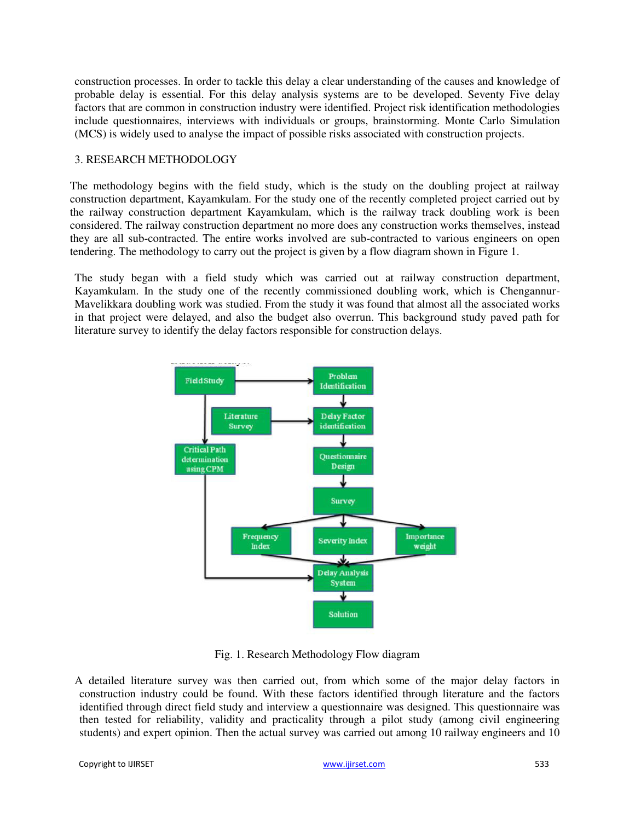construction processes. In order to tackle this delay a clear understanding of the causes and knowledge of probable delay is essential. For this delay analysis systems are to be developed. Seventy Five delay factors that are common in construction industry were identified. Project risk identification methodologies include questionnaires, interviews with individuals or groups, brainstorming. Monte Carlo Simulation (MCS) is widely used to analyse the impact of possible risks associated with construction projects.

# 3. RESEARCH METHODOLOGY

The methodology begins with the field study, which is the study on the doubling project at railway construction department, Kayamkulam. For the study one of the recently completed project carried out by the railway construction department Kayamkulam, which is the railway track doubling work is been considered. The railway construction department no more does any construction works themselves, instead they are all sub-contracted. The entire works involved are sub-contracted to various engineers on open tendering. The methodology to carry out the project is given by a flow diagram shown in Figure 1.

 The study began with a field study which was carried out at railway construction department, Kayamkulam. In the study one of the recently commissioned doubling work, which is Chengannur-Mavelikkara doubling work was studied. From the study it was found that almost all the associated works in that project were delayed, and also the budget also overrun. This background study paved path for literature survey to identify the delay factors responsible for construction delays.



Fig. 1. Research Methodology Flow diagram

A detailed literature survey was then carried out, from which some of the major delay factors in construction industry could be found. With these factors identified through literature and the factors identified through direct field study and interview a questionnaire was designed. This questionnaire was then tested for reliability, validity and practicality through a pilot study (among civil engineering students) and expert opinion. Then the actual survey was carried out among 10 railway engineers and 10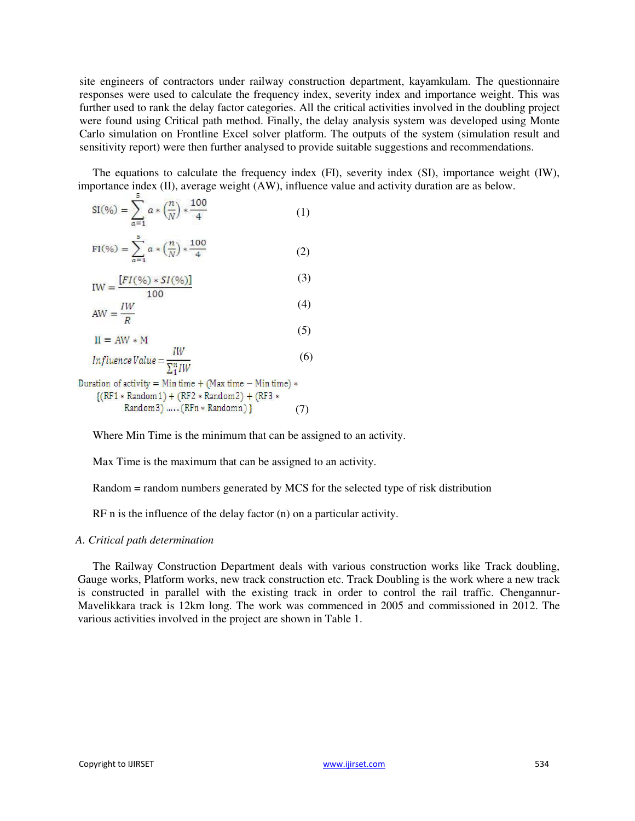site engineers of contractors under railway construction department, kayamkulam. The questionnaire responses were used to calculate the frequency index, severity index and importance weight. This was further used to rank the delay factor categories. All the critical activities involved in the doubling project were found using Critical path method. Finally, the delay analysis system was developed using Monte Carlo simulation on Frontline Excel solver platform. The outputs of the system (simulation result and sensitivity report) were then further analysed to provide suitable suggestions and recommendations.

The equations to calculate the frequency index (FI), severity index (SI), importance weight (IW), importance index (II), average weight (AW), influence value and activity duration are as below.

$$
SI(\% ) = \sum_{\alpha=1}^{8} a * \left(\frac{n}{N}\right) * \frac{100}{4}
$$
 (1)

$$
\text{FI}(\% ) = \sum_{\alpha=1}^{5} \alpha * \left(\frac{n}{N}\right) * \frac{100}{4} \tag{2}
$$

$$
IW = \frac{[FI(\%)*SI(\%)]}{100} \tag{3}
$$

$$
AW = \frac{IW}{R}
$$
 (4)

$$
II = AW * M \tag{3}
$$

$$
Influence Value = \frac{IW}{\sum_{1}^{n} I W}
$$
 (6)

Duration of activity =  $Min time + (Max time - Min time)$  \*  $({\text{RF1}} * {\text{Random1}}) + ({\text{RF2}} * {\text{Random2}}) + ({\text{RF3}} *$ Random3) ..... (RFn \* Randomn) } (7)

Where Min Time is the minimum that can be assigned to an activity.

Max Time is the maximum that can be assigned to an activity.

Random = random numbers generated by MCS for the selected type of risk distribution

RF n is the influence of the delay factor (n) on a particular activity.

#### *A. Critical path determination*

The Railway Construction Department deals with various construction works like Track doubling, Gauge works, Platform works, new track construction etc. Track Doubling is the work where a new track is constructed in parallel with the existing track in order to control the rail traffic. Chengannur-Mavelikkara track is 12km long. The work was commenced in 2005 and commissioned in 2012. The various activities involved in the project are shown in Table 1.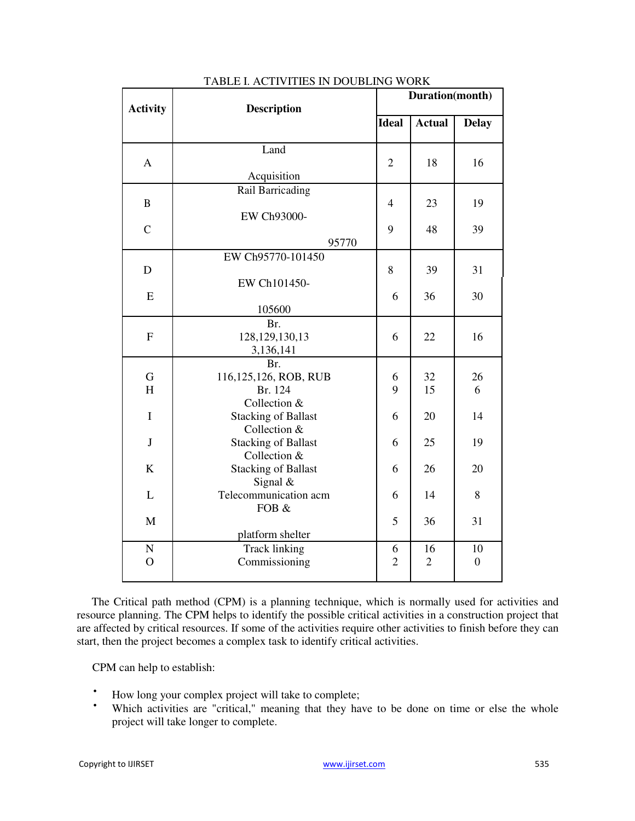| <b>Activity</b>          | <b>Description</b>                                         |                                          | Duration(month)      |                        |  |  |  |
|--------------------------|------------------------------------------------------------|------------------------------------------|----------------------|------------------------|--|--|--|
|                          |                                                            | <b>Ideal</b>                             | <b>Actual</b>        | <b>Delay</b>           |  |  |  |
| $\mathbf{A}$             | Land<br>Acquisition                                        | $\overline{2}$                           | 18                   | 16                     |  |  |  |
| $\, {\bf B}$             | EW Ch93000-                                                | Rail Barricading<br>$\overline{4}$<br>23 |                      |                        |  |  |  |
| $\overline{C}$           | 95770                                                      | 9                                        | 48                   | 39                     |  |  |  |
| D                        | EW Ch95770-101450<br>EW Ch101450-                          | 8                                        | 39                   | 31                     |  |  |  |
| E                        | 105600                                                     | 6                                        | 36                   | 30                     |  |  |  |
| ${\bf F}$                | Br.<br>128, 129, 130, 13<br>3,136,141                      | 6                                        | 22                   | 16                     |  |  |  |
| G<br>H                   | Br.<br>116,125,126, ROB, RUB<br>Br. 124                    | 6<br>9                                   | 32<br>15             | 26<br>6                |  |  |  |
| $\mathbf I$              | Collection &<br><b>Stacking of Ballast</b><br>Collection & | 6                                        | 20                   | 14                     |  |  |  |
| $\bf J$                  | <b>Stacking of Ballast</b><br>Collection &                 | 6                                        | 25                   | 19                     |  |  |  |
| K                        | <b>Stacking of Ballast</b><br>Signal $&$                   | 6                                        | 26                   | 20                     |  |  |  |
| L                        | Telecommunication acm<br>FOB &                             | 6                                        | 14                   | 8                      |  |  |  |
| M                        | platform shelter                                           | 5                                        | 36                   | 31                     |  |  |  |
| ${\bf N}$<br>$\mathbf O$ | <b>Track linking</b><br>Commissioning                      | 6<br>$\overline{2}$                      | 16<br>$\overline{2}$ | 10<br>$\boldsymbol{0}$ |  |  |  |

#### TABLE I. ACTIVITIES IN DOUBLING WORK

The Critical path method (CPM) is a planning technique, which is normally used for activities and resource planning. The CPM helps to identify the possible critical activities in a construction project that are affected by critical resources. If some of the activities require other activities to finish before they can start, then the project becomes a complex task to identify critical activities.

CPM can help to establish:

- $\cdot$  How long your complex project will take to complete;<br> $\cdot$  Which estimities are "entited" meaning that that he
- Which activities are "critical," meaning that they have to be done on time or else the whole project will take longer to complete.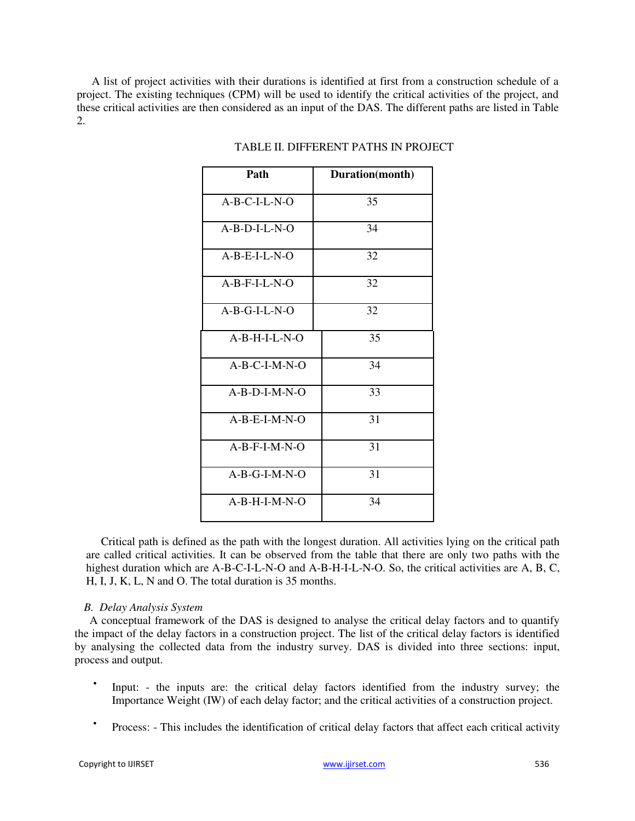A list of project activities with their durations is identified at first from a construction schedule of a project. The existing techniques (CPM) will be used to identify the critical activities of the project, and these critical activities are then considered as an input of the DAS. The different paths are listed in Table 2.

| Path            | Duration(month) |
|-----------------|-----------------|
| $A-B-C-I-L-N-O$ | 35              |
| $A-B-D-I-L-N-O$ | 34              |
| $A-B-E-I-L-N-O$ | 32              |
| $A-B-F-I-L-N-O$ | 32              |
| $A-B-G-I-L-N-O$ | 32              |
| $A-B-H-I-L-N-O$ | 35              |
| A-B-C-I-M-N-O   | 34              |
| $A-B-D-I-M-N-O$ | 33              |
| $A-B-E-I-M-N-O$ | 31              |
| $A-B-F-I-M-N-O$ | 31              |
| A-B-G-I-M-N-O   | 31              |
| $A-B-H-I-M-N-O$ | 34              |

#### TABLE II. DIFFERENT PATHS IN PROJECT

Critical path is defined as the path with the longest duration. All activities lying on the critical path are called critical activities. It can be observed from the table that there are only two paths with the highest duration which are A-B-C-I-L-N-O and A-B-H-I-L-N-O. So, the critical activities are A, B, C, H, I, J, K, L, N and O. The total duration is 35 months.

# *B. Delay Analysis System*

A conceptual framework of the DAS is designed to analyse the critical delay factors and to quantify the impact of the delay factors in a construction project. The list of the critical delay factors is identified by analysing the collected data from the industry survey. DAS is divided into three sections: input, process and output.

- $\bullet$ Input: - the inputs are: the critical delay factors identified from the industry survey; the Importance Weight (IW) of each delay factor; and the critical activities of a construction project.
- $\bullet$ Process: - This includes the identification of critical delay factors that affect each critical activity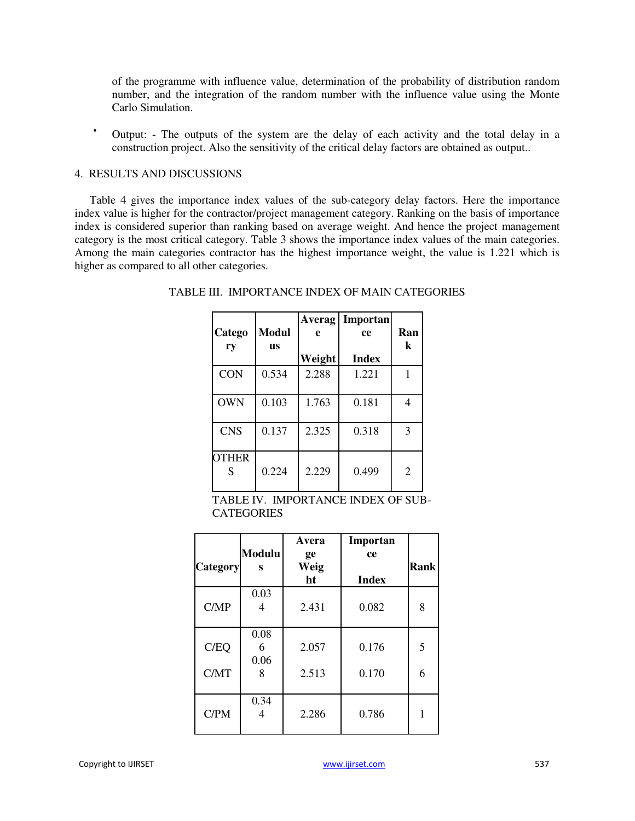of the programme with influence value, determination of the probability of distribution random number, and the integration of the random number with the influence value using the Monte Carlo Simulation.

 Output: - The outputs of the system are the delay of each activity and the total delay in a construction project. Also the sensitivity of the critical delay factors are obtained as output..

#### 4. RESULTS AND DISCUSSIONS

Table 4 gives the importance index values of the sub-category delay factors. Here the importance index value is higher for the contractor/project management category. Ranking on the basis of importance index is considered superior than ranking based on average weight. And hence the project management category is the most critical category. Table 3 shows the importance index values of the main categories. Among the main categories contractor has the highest importance weight, the value is 1.221 which is higher as compared to all other categories.

| Catego<br>ry      | <b>Modul</b><br><b>us</b> | Averag<br>e | Importan<br>ce | Ran<br>k |
|-------------------|---------------------------|-------------|----------------|----------|
|                   |                           | Weight      | <b>Index</b>   |          |
| <b>CON</b>        | 0.534                     | 2.288       | 1.221          |          |
| <b>OWN</b>        | 0.103                     | 1.763       | 0.181          | 4        |
| <b>CNS</b>        | 0.137                     | 2.325       | 0.318          | 3        |
| <b>OTHER</b><br>S | 0.224                     | 2.229       | 0.499          | 2        |

# TABLE III. IMPORTANCE INDEX OF MAIN CATEGORIES

TABLE IV. IMPORTANCE INDEX OF SUB-**CATEGORIES** 

| <b>Category</b> | <b>Modulu</b><br>S | Avera<br>ge<br>Weig<br>ht | Importan<br>ce<br><b>Index</b> | Rank |
|-----------------|--------------------|---------------------------|--------------------------------|------|
| C/MP            | 0.03<br>4          | 2.431                     | 0.082                          | 8    |
| C/EQ            | 0.08<br>6<br>0.06  | 2.057                     | 0.176                          | 5    |
| C/MT            | 8                  | 2.513                     | 0.170                          | 6    |
| C/PM            | 0.34<br>4          | 2.286                     | 0.786                          |      |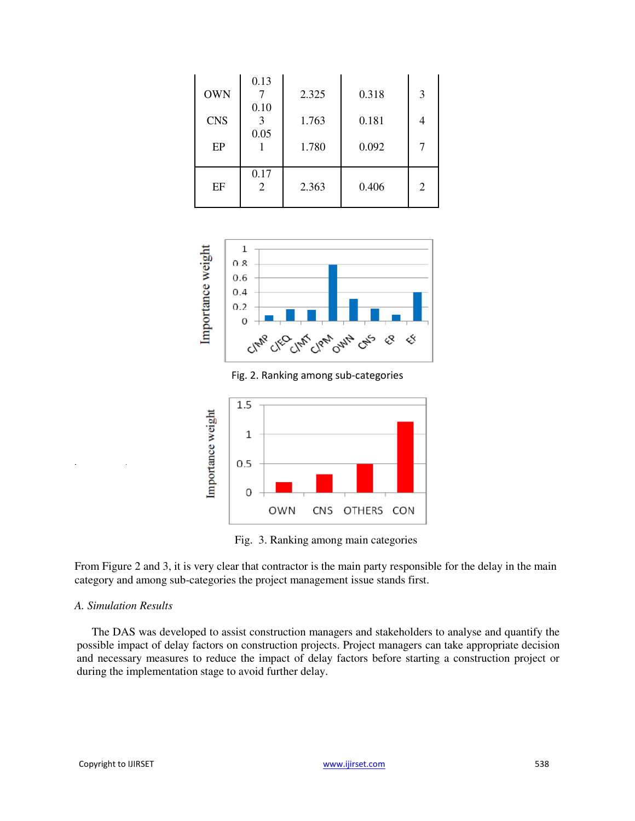| <b>OWN</b> | 0.13      | 2.325 | 0.318 | 3 |
|------------|-----------|-------|-------|---|
| <b>CNS</b> | 0.10      | 1.763 | 0.181 |   |
| EP         | 0.05      | 1.780 | 0.092 |   |
| EF         | 0.17<br>2 | 2.363 | 0.406 | 2 |



Fig. 2. Ranking among sub-categories



Fig. 3. Ranking among main categories

From Figure 2 and 3, it is very clear that contractor is the main party responsible for the delay in the main category and among sub-categories the project management issue stands first.

#### *A. Simulation Results*

The DAS was developed to assist construction managers and stakeholders to analyse and quantify the possible impact of delay factors on construction projects. Project managers can take appropriate decision and necessary measures to reduce the impact of delay factors before starting a construction project or during the implementation stage to avoid further delay.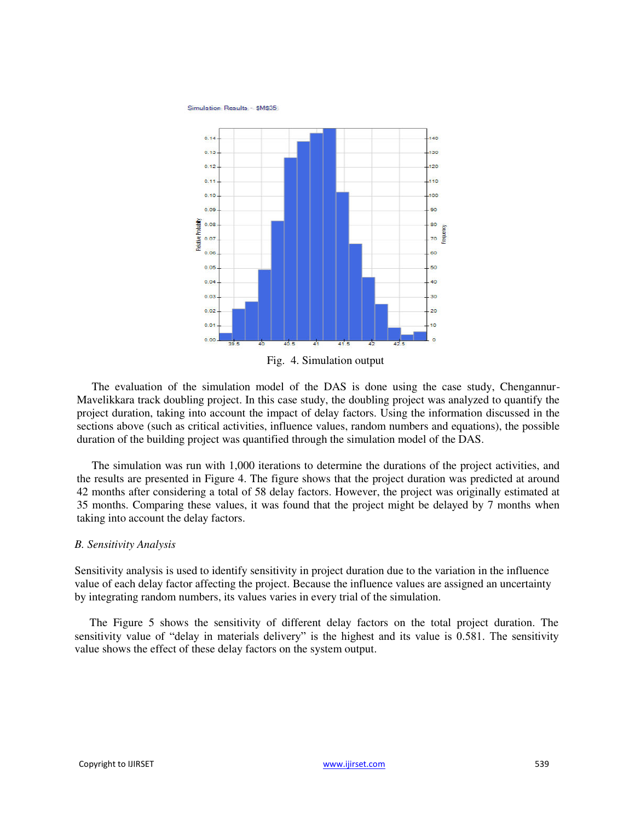Simulation Results - \$M\$35



Fig. 4. Simulation output

The evaluation of the simulation model of the DAS is done using the case study, Chengannur-Mavelikkara track doubling project. In this case study, the doubling project was analyzed to quantify the project duration, taking into account the impact of delay factors. Using the information discussed in the sections above (such as critical activities, influence values, random numbers and equations), the possible duration of the building project was quantified through the simulation model of the DAS.

The simulation was run with 1,000 iterations to determine the durations of the project activities, and the results are presented in Figure 4. The figure shows that the project duration was predicted at around 42 months after considering a total of 58 delay factors. However, the project was originally estimated at 35 months. Comparing these values, it was found that the project might be delayed by 7 months when taking into account the delay factors.

#### *B. Sensitivity Analysis*

Sensitivity analysis is used to identify sensitivity in project duration due to the variation in the influence value of each delay factor affecting the project. Because the influence values are assigned an uncertainty by integrating random numbers, its values varies in every trial of the simulation.

The Figure 5 shows the sensitivity of different delay factors on the total project duration. The sensitivity value of "delay in materials delivery" is the highest and its value is 0.581. The sensitivity value shows the effect of these delay factors on the system output.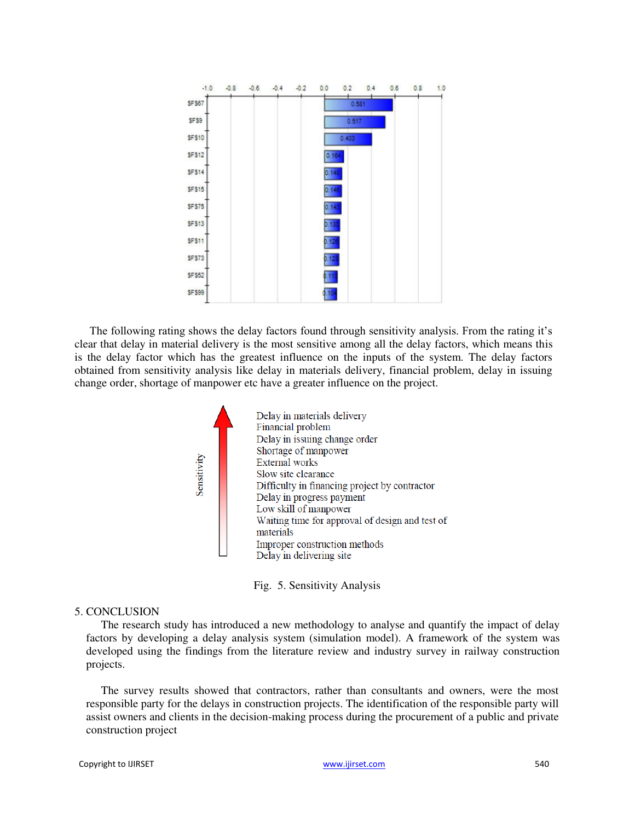| $-1.0$         | $-0.8$ | $-0.6$ | $-0.4$ | $-0.2$ | 0.0    | 0.2   | 0.4 | 0.6 | 0.8 | 1.0 |
|----------------|--------|--------|--------|--------|--------|-------|-----|-----|-----|-----|
| SF\$67         |        |        |        |        |        | 0.581 |     |     |     |     |
| <b>SF \$9</b>  |        |        |        |        |        | 0.617 |     |     |     |     |
| <b>SF\$10</b>  |        |        |        |        |        | 0.403 |     |     |     |     |
| <b>SF\$12</b>  |        |        |        |        | 0.164  |       |     |     |     |     |
| <b>SF\$14</b>  |        |        |        |        | 0.148  |       |     |     |     |     |
| <b>SF\$15</b>  |        |        |        |        | 0.146  |       |     |     |     |     |
| <b>SF \$75</b> |        |        |        |        | 0.143  |       |     |     |     |     |
| <b>SFS13</b>   |        |        |        |        | p.130  |       |     |     |     |     |
| <b>SFS11</b>   |        |        |        |        | p. 126 |       |     |     |     |     |
| <b>SF\$73</b>  |        |        |        |        | 0.123  |       |     |     |     |     |
| <b>SF\$52</b>  |        |        |        |        | 110    |       |     |     |     |     |
| SF \$99        |        |        |        |        | .10    |       |     |     |     |     |

The following rating shows the delay factors found through sensitivity analysis. From the rating it's clear that delay in material delivery is the most sensitive among all the delay factors, which means this is the delay factor which has the greatest influence on the inputs of the system. The delay factors obtained from sensitivity analysis like delay in materials delivery, financial problem, delay in issuing change order, shortage of manpower etc have a greater influence on the project.



Fig. 5. Sensitivity Analysis

# 5. CONCLUSION

The research study has introduced a new methodology to analyse and quantify the impact of delay factors by developing a delay analysis system (simulation model). A framework of the system was developed using the findings from the literature review and industry survey in railway construction projects.

The survey results showed that contractors, rather than consultants and owners, were the most responsible party for the delays in construction projects. The identification of the responsible party will assist owners and clients in the decision-making process during the procurement of a public and private construction project